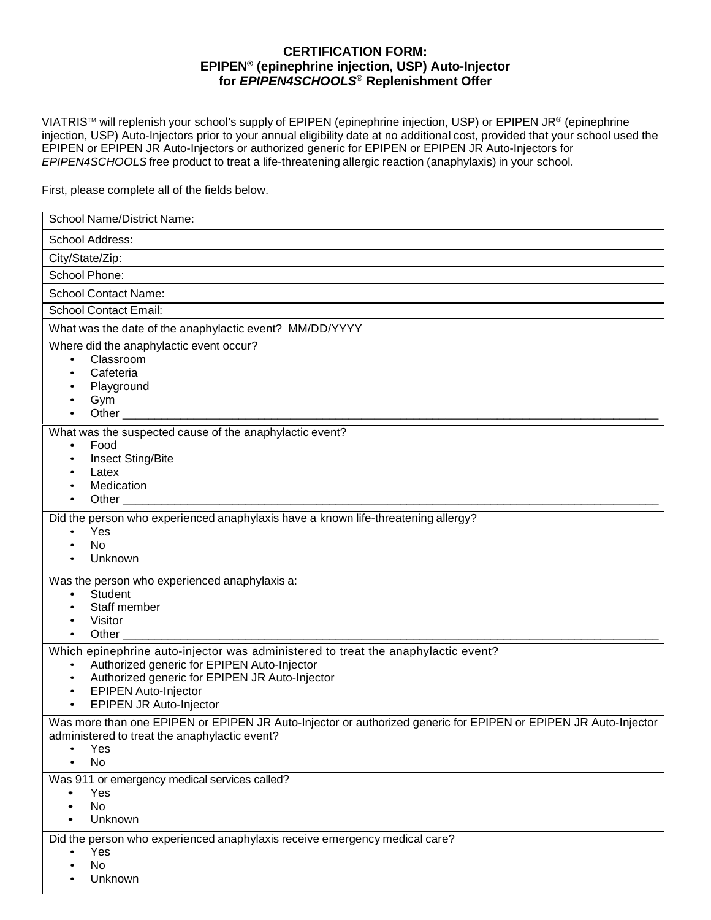## **CERTIFICATION FORM: EPIPEN® (epinephrine injection, USP) Auto-Injector for** *EPIPEN4SCHOOLS***® Replenishment Offer**

VIATRIS™ will replenish your school's supply of EPIPEN (epinephrine injection, USP) or EPIPEN JR® (epinephrine injection, USP) Auto-Injectors prior to your annual eligibility date at no additional cost, provided that your school used the EPIPEN or EPIPEN JR Auto-Injectors or authorized generic for EPIPEN or EPIPEN JR Auto-Injectors for *EPIPEN4SCHOOLS* free product to treat a life-threatening allergic reaction (anaphylaxis) in your school.

First, please complete all of the fields below.

| <b>School Name/District Name:</b>                                                                                                                                                                                                                                                                                                  |
|------------------------------------------------------------------------------------------------------------------------------------------------------------------------------------------------------------------------------------------------------------------------------------------------------------------------------------|
| School Address:                                                                                                                                                                                                                                                                                                                    |
| City/State/Zip:                                                                                                                                                                                                                                                                                                                    |
| School Phone:                                                                                                                                                                                                                                                                                                                      |
| <b>School Contact Name:</b>                                                                                                                                                                                                                                                                                                        |
| <b>School Contact Email:</b>                                                                                                                                                                                                                                                                                                       |
| What was the date of the anaphylactic event? MM/DD/YYYY                                                                                                                                                                                                                                                                            |
| Where did the anaphylactic event occur?<br>Classroom<br>$\bullet$<br>Cafeteria<br>$\bullet$<br>Playground<br>Gym                                                                                                                                                                                                                   |
|                                                                                                                                                                                                                                                                                                                                    |
| What was the suspected cause of the anaphylactic event?<br>Food<br>$\bullet$<br><b>Insect Sting/Bite</b><br>Latex<br>Medication                                                                                                                                                                                                    |
| Did the person who experienced anaphylaxis have a known life-threatening allergy?<br>Yes<br>$\bullet$<br><b>No</b><br>Unknown                                                                                                                                                                                                      |
| Was the person who experienced anaphylaxis a:<br>Student<br>$\bullet$<br>Staff member<br>Visitor<br>Other the contract of the contract of the contract of the contract of the contract of the contract of the contract of the contract of the contract of the contract of the contract of the contract of the contract of the cont |
| Which epinephrine auto-injector was administered to treat the anaphylactic event?<br>Authorized generic for EPIPEN Auto-Injector<br>$\bullet$<br>Authorized generic for EPIPEN JR Auto-Injector<br>$\bullet$<br><b>EPIPEN Auto-Injector</b><br><b>EPIPEN JR Auto-Injector</b>                                                      |
| Was more than one EPIPEN or EPIPEN JR Auto-Injector or authorized generic for EPIPEN or EPIPEN JR Auto-Injector<br>administered to treat the anaphylactic event?<br>Yes<br><b>No</b>                                                                                                                                               |
| Was 911 or emergency medical services called?<br>Yes<br><b>No</b><br>Unknown                                                                                                                                                                                                                                                       |
| Did the person who experienced anaphylaxis receive emergency medical care?<br>Yes<br><b>No</b><br>Unknown                                                                                                                                                                                                                          |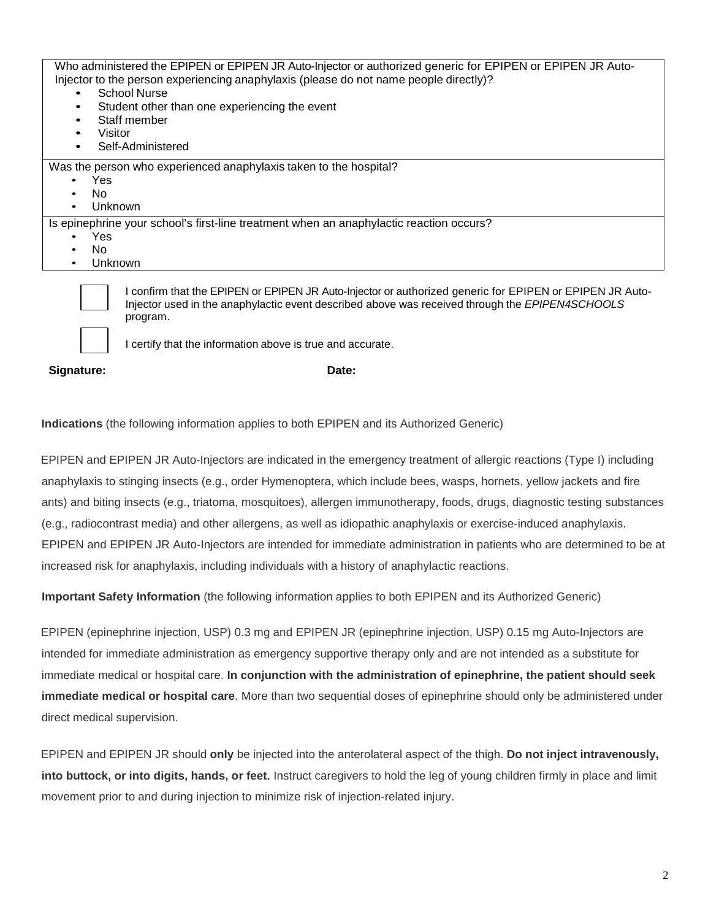| Who administered the EPIPEN or EPIPEN JR Auto-Injector or authorized generic for EPIPEN or EPIPEN JR Auto-<br>Injector to the person experiencing anaphylaxis (please do not name people directly)?<br>School Nurse<br>Student other than one experiencing the event<br>Staff member<br>Visitor<br>Self-Administered |
|----------------------------------------------------------------------------------------------------------------------------------------------------------------------------------------------------------------------------------------------------------------------------------------------------------------------|
| Was the person who experienced anaphylaxis taken to the hospital?                                                                                                                                                                                                                                                    |
|                                                                                                                                                                                                                                                                                                                      |
| Yes<br>$\bullet$                                                                                                                                                                                                                                                                                                     |
| No.<br>٠                                                                                                                                                                                                                                                                                                             |
| Unknown<br>$\bullet$                                                                                                                                                                                                                                                                                                 |
| Is epinephrine your school's first-line treatment when an anaphylactic reaction occurs?                                                                                                                                                                                                                              |
| Yes<br>$\bullet$                                                                                                                                                                                                                                                                                                     |
| No.                                                                                                                                                                                                                                                                                                                  |
| Unknown<br>$\bullet$                                                                                                                                                                                                                                                                                                 |
| confirm that the EDIDEN or EDIDEN ID Auto Injector or authorized generic for EDIDEN or EDIDEN ID Auto                                                                                                                                                                                                                |



 $\,$  firm that the EPIPEN or EPIPEN JR Auto-Injector or authorized generic for EPIPEN or EPIPEN JR Auto-Injector used in the anaphylactic event described above was received through the *EPIPEN4SCHOOLS* program.

I certify that the information above is true and accurate.

Signature: Date: Date: Date: Date: Date: Date: Date: Date: Date: Date: Date: Date: Date: Date: Date: Date: Date: Date: Date: Date: Date: Date: Date: Date: Date: Date: Date: Date: Date: Date: Date: Date: Date: Date: Date: D

**Indications** (the following information applies to both EPIPEN and its Authorized Generic)

EPIPEN and EPIPEN JR Auto-Injectors are indicated in the emergency treatment of allergic reactions (Type I) including anaphylaxis to stinging insects (e.g., order Hymenoptera, which include bees, wasps, hornets, yellow jackets and fire ants) and biting insects (e.g., triatoma, mosquitoes), allergen immunotherapy, foods, drugs, diagnostic testing substances (e.g., radiocontrast media) and other allergens, as well as idiopathic anaphylaxis or exercise-induced anaphylaxis. EPIPEN and EPIPEN JR Auto-Injectors are intended for immediate administration in patients who are determined to be at increased risk for anaphylaxis, including individuals with a history of anaphylactic reactions.

**Important Safety Information** (the following information applies to both EPIPEN and its Authorized Generic)

EPIPEN (epinephrine injection, USP) 0.3 mg and EPIPEN JR (epinephrine injection, USP) 0.15 mg Auto-Injectors are intended for immediate administration as emergency supportive therapy only and are not intended as a substitute for immediate medical or hospital care. **In conjunction with the administration of epinephrine, the patient should seek immediate medical or hospital care**. More than two sequential doses of epinephrine should only be administered under direct medical supervision.

EPIPEN and EPIPEN JR should **only** be injected into the anterolateral aspect of the thigh. **Do not inject intravenously, into buttock, or into digits, hands, or feet.** Instruct caregivers to hold the leg of young children firmly in place and limit movement prior to and during injection to minimize risk of injection-related injury.